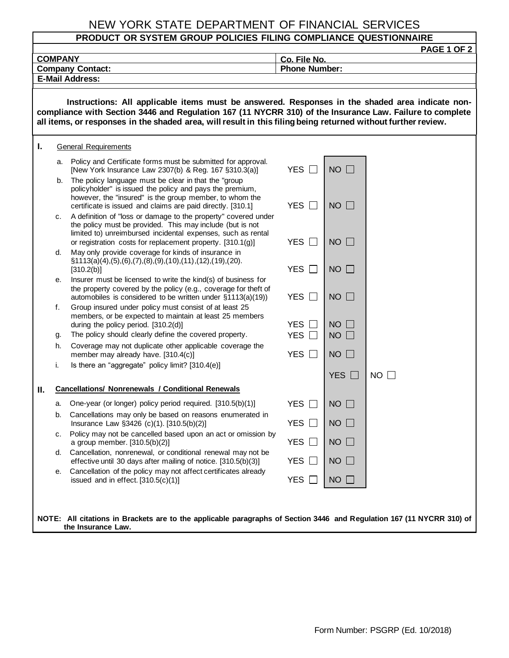## NEW YORK STATE DEPARTMENT OF FINANCIAL SERVICES

## **PRODUCT OR SYSTEM GROUP POLICIES FILING COMPLIANCE QUESTIONNAIRE**

| PAGE 1 OF 2                                                                                                                                                                                                                                                                                                                  |                             |                                                                                                                                                                                                                                                           |                                          |                          |             |  |
|------------------------------------------------------------------------------------------------------------------------------------------------------------------------------------------------------------------------------------------------------------------------------------------------------------------------------|-----------------------------|-----------------------------------------------------------------------------------------------------------------------------------------------------------------------------------------------------------------------------------------------------------|------------------------------------------|--------------------------|-------------|--|
| <b>COMPANY</b>                                                                                                                                                                                                                                                                                                               |                             |                                                                                                                                                                                                                                                           |                                          | Co. File No.             |             |  |
| <b>Phone Number:</b><br><b>Company Contact:</b><br><b>E-Mail Address:</b>                                                                                                                                                                                                                                                    |                             |                                                                                                                                                                                                                                                           |                                          |                          |             |  |
|                                                                                                                                                                                                                                                                                                                              |                             |                                                                                                                                                                                                                                                           |                                          |                          |             |  |
| Instructions: All applicable items must be answered. Responses in the shaded area indicate non-<br>compliance with Section 3446 and Regulation 167 (11 NYCRR 310) of the Insurance Law. Failure to complete<br>all items, or responses in the shaded area, will result in this filing being returned without further review. |                             |                                                                                                                                                                                                                                                           |                                          |                          |             |  |
| Τ.                                                                                                                                                                                                                                                                                                                           | <b>General Requirements</b> |                                                                                                                                                                                                                                                           |                                          |                          |             |  |
|                                                                                                                                                                                                                                                                                                                              | a.                          | Policy and Certificate forms must be submitted for approval.<br>[New York Insurance Law 2307(b) & Reg. 167 §310.3(a)]                                                                                                                                     | YES $\Box$                               | $NO$ $\Box$              |             |  |
|                                                                                                                                                                                                                                                                                                                              | b.                          | The policy language must be clear in that the "group<br>policyholder" is issued the policy and pays the premium,<br>however, the "insured" is the group member, to whom the<br>certificate is issued and claims are paid directly. [310.1]                | <b>YES</b><br>$\perp$                    | $NO$ $\Box$              |             |  |
|                                                                                                                                                                                                                                                                                                                              | c.                          | A definition of "loss or damage to the property" covered under<br>the policy must be provided. This may include (but is not<br>limited to) unreimbursed incidental expenses, such as rental<br>or registration costs for replacement property. [310.1(g)] | <b>YES</b><br>$\perp$                    | $NO$ $\Box$              |             |  |
|                                                                                                                                                                                                                                                                                                                              | d.                          | May only provide coverage for kinds of insurance in<br>$\S1113(a)(4), (5), (6), (7), (8), (9), (10), (11), (12), (19), (20).$                                                                                                                             | YES $\Box$                               | $NO$ $\Box$              |             |  |
|                                                                                                                                                                                                                                                                                                                              | е.                          | [310.2(b)]<br>Insurer must be licensed to write the kind(s) of business for<br>the property covered by the policy (e.g., coverage for theft of                                                                                                            |                                          |                          |             |  |
|                                                                                                                                                                                                                                                                                                                              | f.                          | automobiles is considered to be written under §1113(a)(19))<br>Group insured under policy must consist of at least 25<br>members, or be expected to maintain at least 25 members                                                                          | YES $\Box$                               | $NO$ $\Box$              |             |  |
|                                                                                                                                                                                                                                                                                                                              | g.                          | during the policy period. [310.2(d)]<br>The policy should clearly define the covered property.                                                                                                                                                            | <b>YES</b><br><b>YES</b><br>$\mathbf{L}$ | <b>NO</b><br>$NO$ $\Box$ |             |  |
|                                                                                                                                                                                                                                                                                                                              | h.                          | Coverage may not duplicate other applicable coverage the<br>member may already have. [310.4(c)]                                                                                                                                                           | <b>YES</b><br>$\perp$                    | $NO$ $\Box$              |             |  |
|                                                                                                                                                                                                                                                                                                                              | i.                          | Is there an "aggregate" policy limit? [310.4(e)]                                                                                                                                                                                                          |                                          |                          |             |  |
|                                                                                                                                                                                                                                                                                                                              |                             |                                                                                                                                                                                                                                                           |                                          | YES $\Box$               | $NO$ $\Box$ |  |
| Н.                                                                                                                                                                                                                                                                                                                           |                             | <b>Cancellations/ Nonrenewals / Conditional Renewals</b>                                                                                                                                                                                                  |                                          |                          |             |  |
|                                                                                                                                                                                                                                                                                                                              | а.                          | One-year (or longer) policy period required. [310.5(b)(1)]                                                                                                                                                                                                | <b>YES</b><br>$\mathbf{I}$               | <b>NO</b>                |             |  |
|                                                                                                                                                                                                                                                                                                                              |                             | b. Cancellations may only be based on reasons enumerated in<br>Insurance Law §3426 (c)(1). [310.5(b)(2)]                                                                                                                                                  | YES $\square$                            | $NO$ $\Box$              |             |  |
|                                                                                                                                                                                                                                                                                                                              | с.                          | Policy may not be cancelled based upon an act or omission by<br>a group member. [310.5(b)(2)]                                                                                                                                                             | YES $\Box$                               | $NO$ $\Box$              |             |  |
|                                                                                                                                                                                                                                                                                                                              | d.                          | Cancellation, nonrenewal, or conditional renewal may not be<br>effective until 30 days after mailing of notice. [310.5(b)(3)]<br>Cancellation of the policy may not affect certificates already                                                           | YES $\Box$                               | $NO$ $\Box$              |             |  |
|                                                                                                                                                                                                                                                                                                                              | е.                          | issued and in effect. $[310.5(c)(1)]$                                                                                                                                                                                                                     | YES $\Box$                               | $NO$ $\Box$              |             |  |
| NOTE: All citations in Brackets are to the applicable paragraphs of Section 3446 and Regulation 167 (11 NYCRR 310) of<br>the Insurance Law.                                                                                                                                                                                  |                             |                                                                                                                                                                                                                                                           |                                          |                          |             |  |